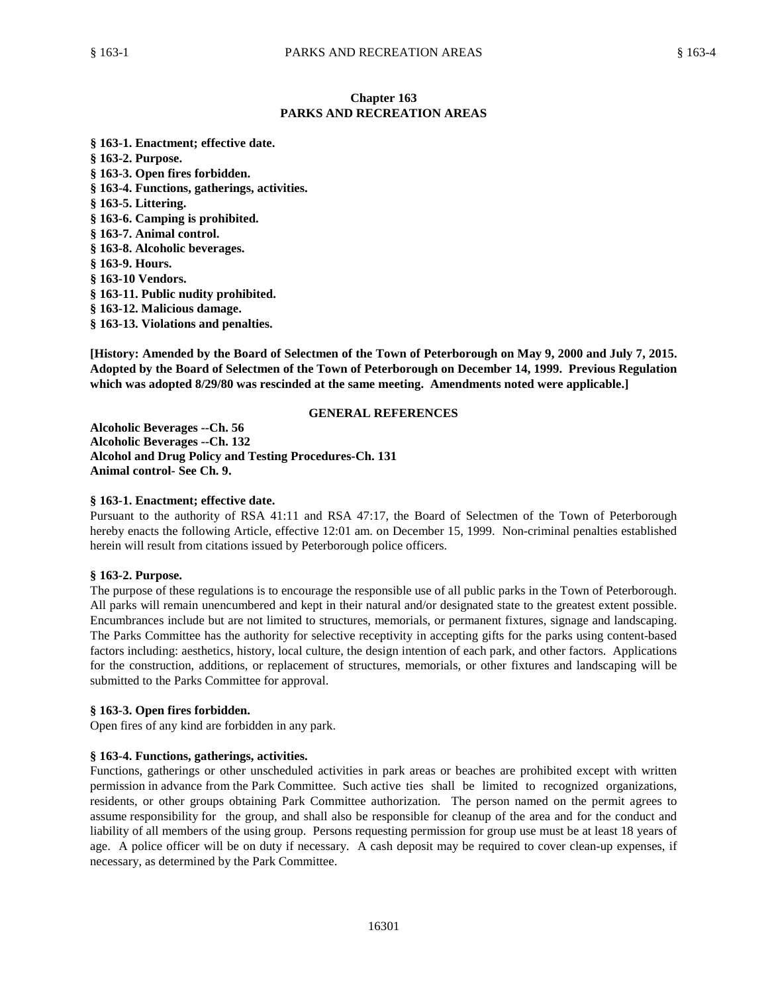# **Chapter 163 PARKS AND RECREATION AREAS**

**§ 163-1. Enactment; effective date. § 163-2. Purpose. § 163-3. Open fires forbidden. § 163-4. Functions, gatherings, activities. § 163-5. Littering. § 163-6. Camping is prohibited. § 163-7. Animal control. § 163-8. Alcoholic beverages. § 163-9. Hours. § 163-10 Vendors. § 163-11. Public nudity prohibited. § 163-12. Malicious damage. § 163-13. Violations and penalties.**

**[History: Amended by the Board of Selectmen of the Town of Peterborough on May 9, 2000 and July 7, 2015. Adopted by the Board of Selectmen of the Town of Peterborough on December 14, 1999. Previous Regulation which was adopted 8/29/80 was rescinded at the same meeting. Amendments noted were applicable.]**

# **GENERAL REFERENCES**

**Alcoholic Beverages --Ch. 56 Alcoholic Beverages --Ch. 132 Alcohol and Drug Policy and Testing Procedures-Ch. 131 Animal control- See Ch. 9.**

# **§ 163-1. Enactment; effective date.**

Pursuant to the authority of RSA 41:11 and RSA 47:17, the Board of Selectmen of the Town of Peterborough hereby enacts the following Article, effective 12:01 am. on December 15, 1999. Non-criminal penalties established herein will result from citations issued by Peterborough police officers.

#### **§ 163-2. Purpose.**

The purpose of these regulations is to encourage the responsible use of all public parks in the Town of Peterborough. All parks will remain unencumbered and kept in their natural and/or designated state to the greatest extent possible. Encumbrances include but are not limited to structures, memorials, or permanent fixtures, signage and landscaping. The Parks Committee has the authority for selective receptivity in accepting gifts for the parks using content-based factors including: aesthetics, history, local culture, the design intention of each park, and other factors. Applications for the construction, additions, or replacement of structures, memorials, or other fixtures and landscaping will be submitted to the Parks Committee for approval.

#### **§ 163-3. Open fires forbidden.**

Open fires of any kind are forbidden in any park.

#### **§ 163-4. Functions, gatherings, activities.**

Functions, gatherings or other unscheduled activities in park areas or beaches are prohibited except with written permission in advance from the Park Committee. Such active ties shall be limited to recognized organizations, residents, or other groups obtaining Park Committee authorization. The person named on the permit agrees to assume responsibility for the group, and shall also be responsible for cleanup of the area and for the conduct and liability of all members of the using group. Persons requesting permission for group use must be at least 18 years of age. A police officer will be on duty if necessary. A cash deposit may be required to cover clean-up expenses, if necessary, as determined by the Park Committee.